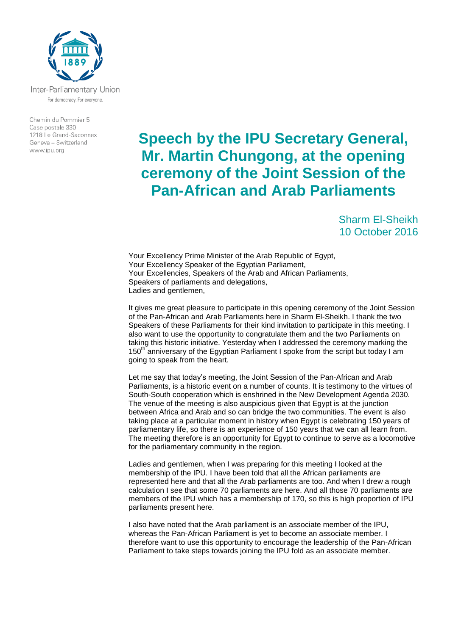

For democracy. For everyone.

Chemin du Pommier 5 Case postale 330 1218 Le Grand-Saconnex Geneva - Switzerland www.ipu.org

## **Speech by the IPU Secretary General, Mr. Martin Chungong, at the opening ceremony of the Joint Session of the Pan-African and Arab Parliaments**

Sharm El-Sheikh 10 October 2016

Your Excellency Prime Minister of the Arab Republic of Egypt, Your Excellency Speaker of the Egyptian Parliament, Your Excellencies, Speakers of the Arab and African Parliaments, Speakers of parliaments and delegations, Ladies and gentlemen,

It gives me great pleasure to participate in this opening ceremony of the Joint Session of the Pan-African and Arab Parliaments here in Sharm El-Sheikh. I thank the two Speakers of these Parliaments for their kind invitation to participate in this meeting. I also want to use the opportunity to congratulate them and the two Parliaments on taking this historic initiative. Yesterday when I addressed the ceremony marking the 150 $<sup>th</sup>$  anniversary of the Egyptian Parliament I spoke from the script but today I am</sup> going to speak from the heart.

Let me say that today's meeting, the Joint Session of the Pan-African and Arab Parliaments, is a historic event on a number of counts. It is testimony to the virtues of South-South cooperation which is enshrined in the New Development Agenda 2030. The venue of the meeting is also auspicious given that Egypt is at the junction between Africa and Arab and so can bridge the two communities. The event is also taking place at a particular moment in history when Egypt is celebrating 150 years of parliamentary life, so there is an experience of 150 years that we can all learn from. The meeting therefore is an opportunity for Egypt to continue to serve as a locomotive for the parliamentary community in the region.

Ladies and gentlemen, when I was preparing for this meeting I looked at the membership of the IPU. I have been told that all the African parliaments are represented here and that all the Arab parliaments are too. And when I drew a rough calculation I see that some 70 parliaments are here. And all those 70 parliaments are members of the IPU which has a membership of 170, so this is high proportion of IPU parliaments present here.

I also have noted that the Arab parliament is an associate member of the IPU, whereas the Pan-African Parliament is yet to become an associate member. I therefore want to use this opportunity to encourage the leadership of the Pan-African Parliament to take steps towards joining the IPU fold as an associate member.